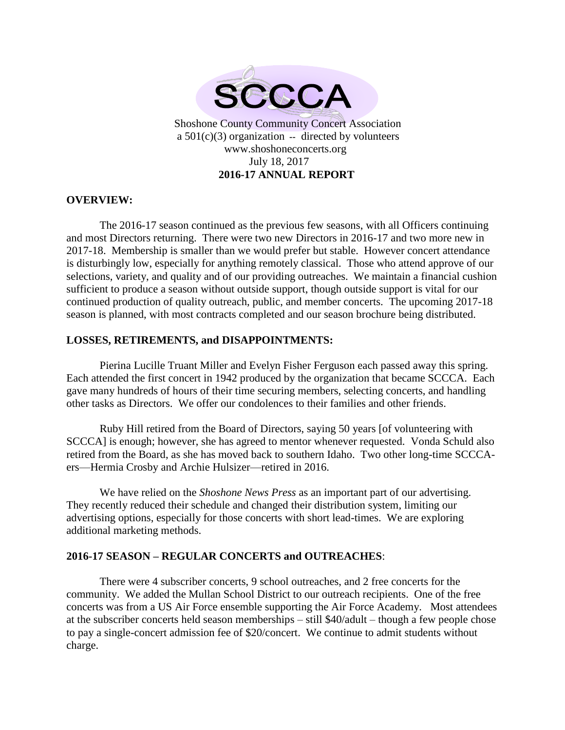

# **OVERVIEW:**

The 2016-17 season continued as the previous few seasons, with all Officers continuing and most Directors returning. There were two new Directors in 2016-17 and two more new in 2017-18. Membership is smaller than we would prefer but stable. However concert attendance is disturbingly low, especially for anything remotely classical. Those who attend approve of our selections, variety, and quality and of our providing outreaches. We maintain a financial cushion sufficient to produce a season without outside support, though outside support is vital for our continued production of quality outreach, public, and member concerts. The upcoming 2017-18 season is planned, with most contracts completed and our season brochure being distributed.

## **LOSSES, RETIREMENTS, and DISAPPOINTMENTS:**

Pierina Lucille Truant Miller and Evelyn Fisher Ferguson each passed away this spring. Each attended the first concert in 1942 produced by the organization that became SCCCA. Each gave many hundreds of hours of their time securing members, selecting concerts, and handling other tasks as Directors. We offer our condolences to their families and other friends.

Ruby Hill retired from the Board of Directors, saying 50 years [of volunteering with SCCCA] is enough; however, she has agreed to mentor whenever requested. Vonda Schuld also retired from the Board, as she has moved back to southern Idaho. Two other long-time SCCCAers—Hermia Crosby and Archie Hulsizer—retired in 2016.

We have relied on the *Shoshone News Press* as an important part of our advertising. They recently reduced their schedule and changed their distribution system, limiting our advertising options, especially for those concerts with short lead-times. We are exploring additional marketing methods.

#### **2016-17 SEASON – REGULAR CONCERTS and OUTREACHES**:

There were 4 subscriber concerts, 9 school outreaches, and 2 free concerts for the community. We added the Mullan School District to our outreach recipients. One of the free concerts was from a US Air Force ensemble supporting the Air Force Academy. Most attendees at the subscriber concerts held season memberships – still \$40/adult – though a few people chose to pay a single-concert admission fee of \$20/concert. We continue to admit students without charge.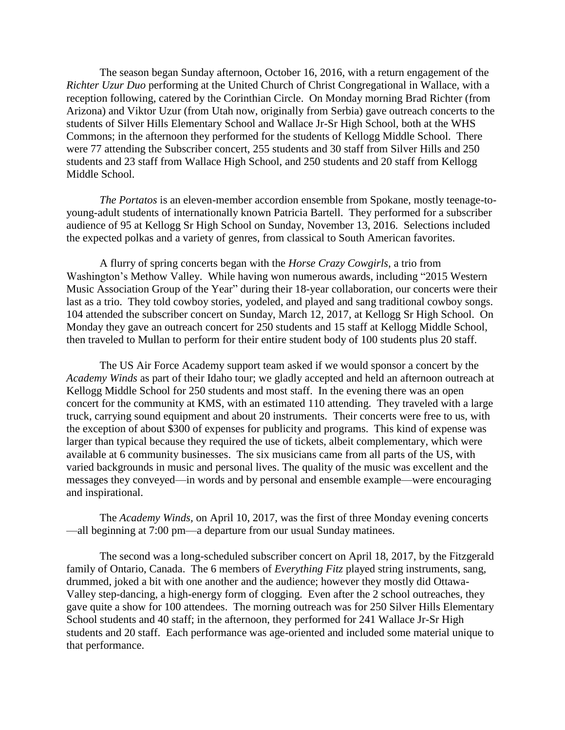The season began Sunday afternoon, October 16, 2016, with a return engagement of the *Richter Uzur Duo* performing at the United Church of Christ Congregational in Wallace, with a reception following, catered by the Corinthian Circle. On Monday morning Brad Richter (from Arizona) and Viktor Uzur (from Utah now, originally from Serbia) gave outreach concerts to the students of Silver Hills Elementary School and Wallace Jr-Sr High School, both at the WHS Commons; in the afternoon they performed for the students of Kellogg Middle School. There were 77 attending the Subscriber concert, 255 students and 30 staff from Silver Hills and 250 students and 23 staff from Wallace High School, and 250 students and 20 staff from Kellogg Middle School.

*The Portatos* is an eleven-member accordion ensemble from Spokane, mostly teenage-toyoung-adult students of internationally known Patricia Bartell. They performed for a subscriber audience of 95 at Kellogg Sr High School on Sunday, November 13, 2016. Selections included the expected polkas and a variety of genres, from classical to South American favorites.

A flurry of spring concerts began with the *Horse Crazy Cowgirls*, a trio from Washington's Methow Valley. While having won numerous awards, including "2015 Western Music Association Group of the Year" during their 18-year collaboration, our concerts were their last as a trio. They told cowboy stories, yodeled, and played and sang traditional cowboy songs. 104 attended the subscriber concert on Sunday, March 12, 2017, at Kellogg Sr High School. On Monday they gave an outreach concert for 250 students and 15 staff at Kellogg Middle School, then traveled to Mullan to perform for their entire student body of 100 students plus 20 staff.

The US Air Force Academy support team asked if we would sponsor a concert by the *Academy Winds* as part of their Idaho tour; we gladly accepted and held an afternoon outreach at Kellogg Middle School for 250 students and most staff. In the evening there was an open concert for the community at KMS, with an estimated 110 attending. They traveled with a large truck, carrying sound equipment and about 20 instruments. Their concerts were free to us, with the exception of about \$300 of expenses for publicity and programs. This kind of expense was larger than typical because they required the use of tickets, albeit complementary, which were available at 6 community businesses. The six musicians came from all parts of the US, with varied backgrounds in music and personal lives. The quality of the music was excellent and the messages they conveyed—in words and by personal and ensemble example—were encouraging and inspirational.

The *Academy Winds,* on April 10, 2017, was the first of three Monday evening concerts —all beginning at 7:00 pm—a departure from our usual Sunday matinees.

The second was a long-scheduled subscriber concert on April 18, 2017, by the Fitzgerald family of Ontario, Canada. The 6 members of *Everything Fitz* played string instruments, sang, drummed, joked a bit with one another and the audience; however they mostly did Ottawa-Valley step-dancing, a high-energy form of clogging. Even after the 2 school outreaches, they gave quite a show for 100 attendees. The morning outreach was for 250 Silver Hills Elementary School students and 40 staff; in the afternoon, they performed for 241 Wallace Jr-Sr High students and 20 staff. Each performance was age-oriented and included some material unique to that performance.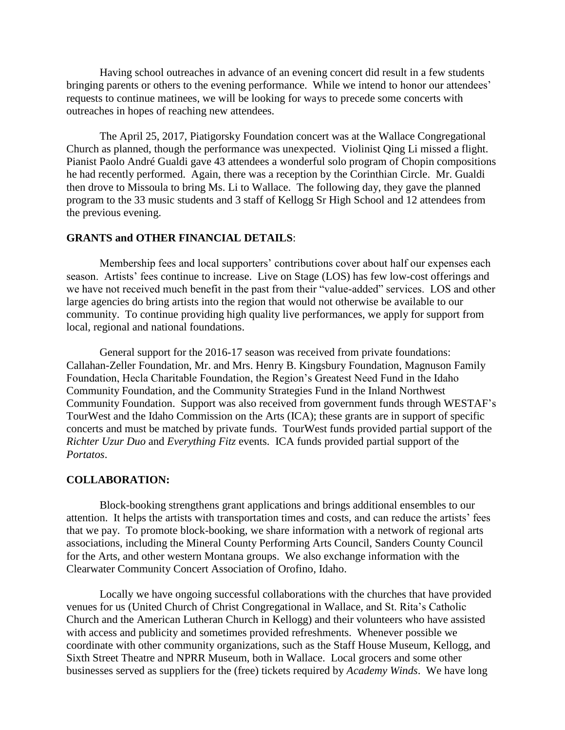Having school outreaches in advance of an evening concert did result in a few students bringing parents or others to the evening performance. While we intend to honor our attendees' requests to continue matinees, we will be looking for ways to precede some concerts with outreaches in hopes of reaching new attendees.

The April 25, 2017, Piatigorsky Foundation concert was at the Wallace Congregational Church as planned, though the performance was unexpected. Violinist Qing Li missed a flight. Pianist Paolo André Gualdi gave 43 attendees a wonderful solo program of Chopin compositions he had recently performed. Again, there was a reception by the Corinthian Circle. Mr. Gualdi then drove to Missoula to bring Ms. Li to Wallace. The following day, they gave the planned program to the 33 music students and 3 staff of Kellogg Sr High School and 12 attendees from the previous evening.

## **GRANTS and OTHER FINANCIAL DETAILS**:

Membership fees and local supporters' contributions cover about half our expenses each season. Artists' fees continue to increase. Live on Stage (LOS) has few low-cost offerings and we have not received much benefit in the past from their "value-added" services. LOS and other large agencies do bring artists into the region that would not otherwise be available to our community. To continue providing high quality live performances, we apply for support from local, regional and national foundations.

General support for the 2016-17 season was received from private foundations: Callahan-Zeller Foundation, Mr. and Mrs. Henry B. Kingsbury Foundation, Magnuson Family Foundation, Hecla Charitable Foundation, the Region's Greatest Need Fund in the Idaho Community Foundation, and the Community Strategies Fund in the Inland Northwest Community Foundation. Support was also received from government funds through WESTAF's TourWest and the Idaho Commission on the Arts (ICA); these grants are in support of specific concerts and must be matched by private funds. TourWest funds provided partial support of the *Richter Uzur Duo* and *Everything Fitz* events. ICA funds provided partial support of the *Portatos*.

#### **COLLABORATION:**

Block-booking strengthens grant applications and brings additional ensembles to our attention. It helps the artists with transportation times and costs, and can reduce the artists' fees that we pay. To promote block-booking, we share information with a network of regional arts associations, including the Mineral County Performing Arts Council, Sanders County Council for the Arts, and other western Montana groups. We also exchange information with the Clearwater Community Concert Association of Orofino, Idaho.

Locally we have ongoing successful collaborations with the churches that have provided venues for us (United Church of Christ Congregational in Wallace, and St. Rita's Catholic Church and the American Lutheran Church in Kellogg) and their volunteers who have assisted with access and publicity and sometimes provided refreshments. Whenever possible we coordinate with other community organizations, such as the Staff House Museum, Kellogg, and Sixth Street Theatre and NPRR Museum, both in Wallace. Local grocers and some other businesses served as suppliers for the (free) tickets required by *Academy Winds*. We have long